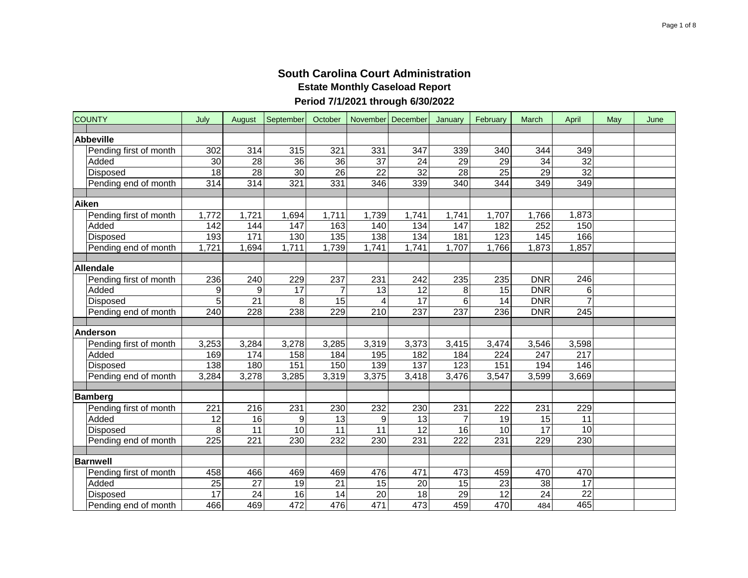| <b>COUNTY</b>          | July             | August             | September       | October         |                  | November December | January          | February        | March      | April            | May | June |
|------------------------|------------------|--------------------|-----------------|-----------------|------------------|-------------------|------------------|-----------------|------------|------------------|-----|------|
| <b>Abbeville</b>       |                  |                    |                 |                 |                  |                   |                  |                 |            |                  |     |      |
| Pending first of month | 302              | 314                | 315             | 321             | 331              | 347               | 339              | 340             | 344        | 349              |     |      |
| Added                  | 30               | 28                 | 36              | $\overline{36}$ | 37               | 24                | 29               | 29              | 34         | $\overline{32}$  |     |      |
| Disposed               | 18               | 28                 | $\overline{30}$ | $\overline{26}$ | $\overline{22}$  | 32                | $\overline{28}$  | $\overline{25}$ | 29         | $\overline{32}$  |     |      |
| Pending end of month   | $\overline{314}$ | $\overline{314}$   | 321             | 331             | 346              | 339               | $\overline{340}$ | 344             | 349        | 349              |     |      |
|                        |                  |                    |                 |                 |                  |                   |                  |                 |            |                  |     |      |
| Aiken                  |                  |                    |                 |                 |                  |                   |                  |                 |            |                  |     |      |
| Pending first of month | 1,772            | $\overline{1,721}$ | 1,694           | 1,711           | 1,739            | 1,741             | 1,741            | 1,707           | 1,766      | 1,873            |     |      |
| Added                  | 142              | 144                | 147             | 163             | 140              | 134               | 147              | 182             | 252        | 150              |     |      |
| Disposed               | 193              | 171                | 130             | 135             | 138              | $\frac{1}{134}$   | 181              | 123             | 145        | 166              |     |      |
| Pending end of month   | 1,721            | 1,694              | 1,711           | 1,739           | 1,741            | 1,741             | 1,707            | 1,766           | 1,873      | 1,857            |     |      |
|                        |                  |                    |                 |                 |                  |                   |                  |                 |            |                  |     |      |
| <b>Allendale</b>       |                  |                    |                 |                 |                  |                   |                  |                 |            |                  |     |      |
| Pending first of month | 236              | 240                | 229             | 237             | 231              | 242               | 235              | 235             | <b>DNR</b> | 246              |     |      |
| Added                  | 9                | 9                  | 17              | $\overline{7}$  | 13               | 12                | 8                | 15              | <b>DNR</b> | 6                |     |      |
| Disposed               | 5                | 21                 | 8               | 15              | 4                | 17                | 6                | 14              | <b>DNR</b> | $\overline{7}$   |     |      |
| Pending end of month   | 240              | 228                | 238             | 229             | 210              | 237               | 237              | 236             | <b>DNR</b> | 245              |     |      |
|                        |                  |                    |                 |                 |                  |                   |                  |                 |            |                  |     |      |
| <b>Anderson</b>        |                  |                    |                 |                 |                  |                   |                  |                 |            |                  |     |      |
| Pending first of month | 3,253            | 3,284              | 3,278           | 3,285           | 3,319            | 3,373             | 3,415            | 3,474           | 3,546      | 3,598            |     |      |
| Added                  | 169              | 174                | 158             | 184             | 195              | 182               | 184              | 224             | 247        | $\overline{217}$ |     |      |
| Disposed               | 138              | 180                | 151             | 150             | 139              | 137               | 123              | 151             | 194        | 146              |     |      |
| Pending end of month   | 3,284            | 3,278              | 3,285           | 3,319           | 3,375            | 3,418             | 3,476            | 3,547           | 3,599      | 3,669            |     |      |
| <b>Bamberg</b>         |                  |                    |                 |                 |                  |                   |                  |                 |            |                  |     |      |
| Pending first of month | 221              | 216                | 231             | 230             | 232              | 230               | 231              | 222             | 231        | 229              |     |      |
| Added                  | 12               | 16                 | 9               | 13              | 9                | 13                |                  | 19              | 15         | 11               |     |      |
| Disposed               | 8                | 11                 | 10              | 11              | 11               | 12                | 16               | 10              | 17         | 10               |     |      |
| Pending end of month   | 225              | 221                | 230             | 232             | $\overline{230}$ | 231               | $\overline{222}$ | 231             | 229        | 230              |     |      |
|                        |                  |                    |                 |                 |                  |                   |                  |                 |            |                  |     |      |
| <b>Barnwell</b>        |                  |                    |                 |                 |                  |                   |                  |                 |            |                  |     |      |
| Pending first of month | 458              | 466                | 469             | 469             | 476              | 471               | 473              | 459             | 470        | 470              |     |      |
| Added                  | 25               | 27                 | 19              | 21              | 15               | 20                | 15               | 23              | 38         | 17               |     |      |
| Disposed               | 17               | $\overline{24}$    | 16              | 14              | 20               | 18                | 29               | $\overline{12}$ | 24         | $\overline{22}$  |     |      |
| Pending end of month   | 466              | 469                | 472             | 476             | 471              | 473               | 459              | 470             | 484        | 465              |     |      |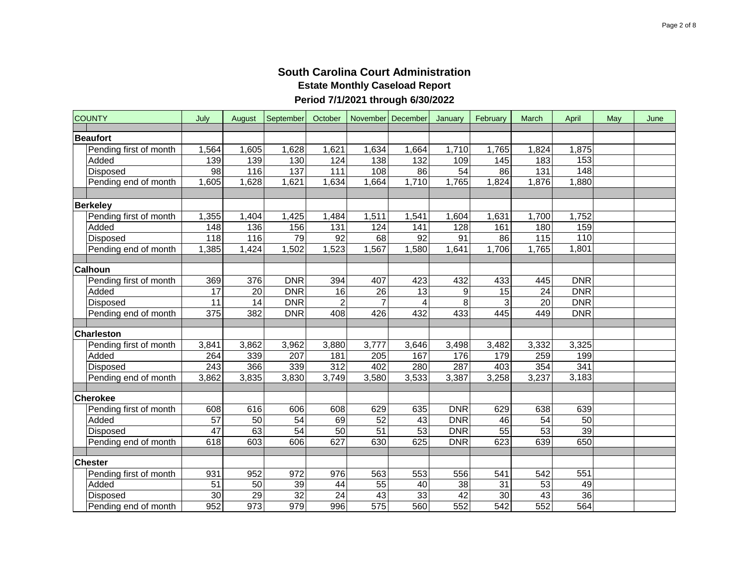| <b>COUNTY</b>          | July            | August | September        | October          |                  | November December | January    | February         | March            | April            | May | June |
|------------------------|-----------------|--------|------------------|------------------|------------------|-------------------|------------|------------------|------------------|------------------|-----|------|
| <b>Beaufort</b>        |                 |        |                  |                  |                  |                   |            |                  |                  |                  |     |      |
| Pending first of month | 1,564           | 1,605  | 1,628            | 1,621            | 1,634            | 1,664             | 1,710      | 1,765            | 1,824            | 1,875            |     |      |
| Added                  | 139             | 139    | 130              | 124              | 138              | 132               | 109        | 145              | 183              | 153              |     |      |
| Disposed               | 98              | 116    | 137              | 111              | 108              | 86                | 54         | 86               | 131              | $\overline{148}$ |     |      |
| Pending end of month   | 1,605           | ,628   | 1,621            | 1,634            | 1,664            | 1,710             | 1,765      | 1,824            | 1,876            | 1,880            |     |      |
|                        |                 |        |                  |                  |                  |                   |            |                  |                  |                  |     |      |
| <b>Berkeley</b>        |                 |        |                  |                  |                  |                   |            |                  |                  |                  |     |      |
| Pending first of month | 1,355           | 1,404  | 1,425            | 1,484            | 1,511            | 1,541             | 1,604      | 1,631            | 1,700            | 1,752            |     |      |
| Added                  | 148             | 136    | 156              | 131              | 124              | 141               | 128        | 161              | 180              | 159              |     |      |
| Disposed               | 118             | 116    | 79               | 92               | 68               | 92                | 91         | 86               | 115              | 110              |     |      |
| Pending end of month   | 1,385           | 1,424  | 1,502            | 1,523            | 1,567            | 1,580             | 1,641      | 1,706            | 1,765            | 1,801            |     |      |
|                        |                 |        |                  |                  |                  |                   |            |                  |                  |                  |     |      |
| <b>Calhoun</b>         |                 |        |                  |                  |                  |                   |            |                  |                  |                  |     |      |
| Pending first of month | 369             | 376    | <b>DNR</b>       | 394              | 407              | 423               | 432        | 433              | 445              | <b>DNR</b>       |     |      |
| Added                  | $\overline{17}$ | 20     | <b>DNR</b>       | 16               | 26               | 13                | 9          | 15               | 24               | <b>DNR</b>       |     |      |
| Disposed               | 11              | 14     | <b>DNR</b>       | $\overline{2}$   | 7                | 4                 | 8          | 3                | 20               | <b>DNR</b>       |     |      |
| Pending end of month   | 375             | 382    | <b>DNR</b>       | 408              | 426              | 432               | 433        | 445              | 449              | <b>DNR</b>       |     |      |
|                        |                 |        |                  |                  |                  |                   |            |                  |                  |                  |     |      |
| <b>Charleston</b>      |                 |        |                  |                  |                  |                   |            |                  |                  |                  |     |      |
| Pending first of month | 3,841           | 3,862  | 3,962            | 3,880            | 3,777            | 3,646             | 3,498      | 3,482            | 3,332            | 3,325            |     |      |
| Added                  | 264             | 339    | 207              | 181              | 205              | 167               | 176        | 179              | 259              | 199              |     |      |
| Disposed               | 243             | 366    | 339              | $\overline{312}$ | 402              | 280               | 287        | 403              | 354              | 341              |     |      |
| Pending end of month   | 3,862           | 3,835  | 3,830            | 3,749            | 3,580            | 3,533             | 3,387      | 3,258            | 3,237            | 3,183            |     |      |
| <b>Cherokee</b>        |                 |        |                  |                  |                  |                   |            |                  |                  |                  |     |      |
| Pending first of month | 608             | 616    | 606              | 608              | 629              | 635               | <b>DNR</b> | 629              | 638              | 639              |     |      |
| Added                  | $\overline{57}$ | 50     | 54               | 69               | $\overline{52}$  | 43                | <b>DNR</b> | 46               | $\overline{54}$  | 50               |     |      |
| Disposed               | $\overline{47}$ | 63     | $\overline{54}$  | 50               | 51               | $\overline{53}$   | <b>DNR</b> | 55               | $\overline{53}$  | $\overline{39}$  |     |      |
| Pending end of month   | 618             | 603    | 606              | 627              | 630              | 625               | <b>DNR</b> | 623              | 639              | 650              |     |      |
|                        |                 |        |                  |                  |                  |                   |            |                  |                  |                  |     |      |
| <b>Chester</b>         |                 |        |                  |                  |                  |                   |            |                  |                  |                  |     |      |
| Pending first of month | 931             | 952    | 972              | 976              | 563              | 553               | 556        | 541              | 542              | 551              |     |      |
| Added                  | 51              | 50     | 39               | 44               | 55               | 40                | 38         | $\overline{31}$  | 53               | 49               |     |      |
| Disposed               | 30              | 29     | 32               | 24               | 43               | 33                | 42         | 30               | 43               | 36               |     |      |
| Pending end of month   | 952             | 973    | $\overline{979}$ | 996              | $\overline{575}$ | 560               | 552        | $\overline{542}$ | $\overline{552}$ | 564              |     |      |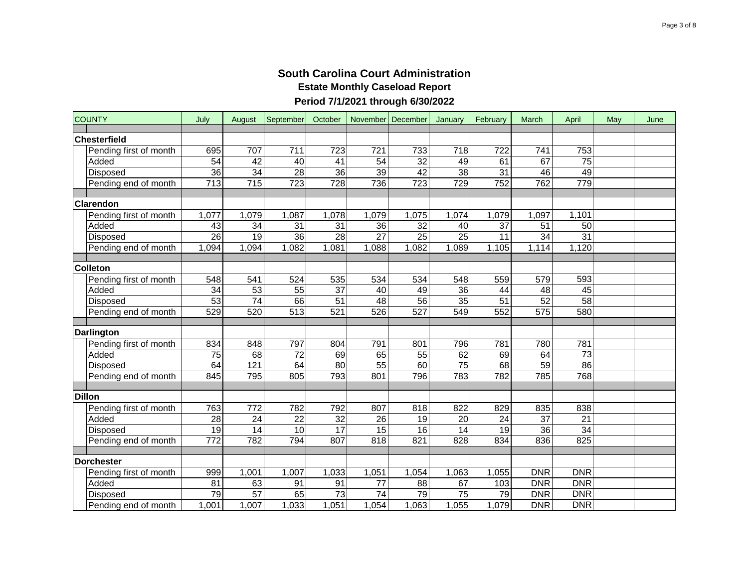| <b>COUNTY</b>          | July             | August          | September        | October         |                 | November   December | January         | February        | March           | April           | May | June |
|------------------------|------------------|-----------------|------------------|-----------------|-----------------|---------------------|-----------------|-----------------|-----------------|-----------------|-----|------|
| Chesterfield           |                  |                 |                  |                 |                 |                     |                 |                 |                 |                 |     |      |
| Pending first of month | 695              | 707             | 711              | 723             | 721             | 733                 | 718             | 722             | 741             | 753             |     |      |
| Added                  | $\overline{54}$  | $\overline{42}$ | 40               | 41              | 54              | 32                  | 49              | 61              | 67              | $\overline{75}$ |     |      |
| Disposed               | 36               | $\overline{34}$ | $\overline{28}$  | 36              | $\overline{39}$ | 42                  | $\overline{38}$ | $\overline{31}$ | 46              | 49              |     |      |
| Pending end of month   | 713              | 715             | 723              | 728             | 736             | 723                 | 729             | 752             | 762             | 779             |     |      |
|                        |                  |                 |                  |                 |                 |                     |                 |                 |                 |                 |     |      |
| Clarendon              |                  |                 |                  |                 |                 |                     |                 |                 |                 |                 |     |      |
| Pending first of month | 1,077            | 1,079           | 1,087            | 1,078           | 1,079           | 1,075               | 1,074           | 1,079           | 1,097           | 1,101           |     |      |
| Added                  | 43               | 34              | $\overline{31}$  | $\overline{31}$ | $\overline{36}$ | $\overline{32}$     | 40              | $\overline{37}$ | $\overline{51}$ | $\overline{50}$ |     |      |
| Disposed               | $\overline{26}$  | $\overline{19}$ | $\overline{36}$  | $\overline{28}$ | $\overline{27}$ | $\overline{25}$     | $\overline{25}$ | $\overline{11}$ | $\overline{34}$ | 31              |     |      |
| Pending end of month   | 1,094            | 1,094           | 1,082            | 1,081           | 1,088           | 1,082               | 1,089           | 1,105           | 1,114           | 1,120           |     |      |
|                        |                  |                 |                  |                 |                 |                     |                 |                 |                 |                 |     |      |
| <b>Colleton</b>        |                  |                 |                  |                 |                 |                     |                 |                 |                 |                 |     |      |
| Pending first of month | 548              | 541             | 524              | 535             | 534             | 534                 | 548             | 559             | 579             | 593             |     |      |
| Added                  | $\overline{34}$  | $\overline{53}$ | $\overline{55}$  | $\overline{37}$ | 40              | 49                  | 36              | 44              | 48              | 45              |     |      |
| Disposed               | 53               | $\overline{74}$ | 66               | $\overline{51}$ | 48              | 56                  | 35              | $\overline{51}$ | 52              | 58              |     |      |
| Pending end of month   | 529              | 520             | $\overline{513}$ | 521             | 526             | $\overline{527}$    | 549             | 552             | 575             | 580             |     |      |
|                        |                  |                 |                  |                 |                 |                     |                 |                 |                 |                 |     |      |
| <b>Darlington</b>      |                  |                 |                  |                 |                 |                     |                 |                 |                 |                 |     |      |
| Pending first of month | 834              | 848             | 797              | 804             | 791             | 801                 | 796             | 781             | 780             | 781             |     |      |
| Added                  | 75               | 68              | 72               | 69              | 65              | 55                  | 62              | 69              | 64              | $\overline{73}$ |     |      |
| Disposed               | 64               | 121             | 64               | 80              | 55              | 60                  | $\overline{75}$ | 68              | 59              | 86              |     |      |
| Pending end of month   | 845              | 795             | 805              | 793             | 801             | 796                 | 783             | 782             | 785             | 768             |     |      |
| <b>Dillon</b>          |                  |                 |                  |                 |                 |                     |                 |                 |                 |                 |     |      |
| Pending first of month | 763              | 772             | 782              | 792             | 807             | 818                 | 822             | 829             | 835             | 838             |     |      |
| Added                  | 28               | 24              | 22               | 32              | 26              | 19                  | 20              | 24              | 37              | 21              |     |      |
| Disposed               | 19               | 14              | 10               | 17              | 15              | 16                  | 14              | 19              | 36              | 34              |     |      |
| Pending end of month   | $\overline{772}$ | 782             | 794              | 807             | 818             | 821                 | 828             | 834             | 836             | 825             |     |      |
|                        |                  |                 |                  |                 |                 |                     |                 |                 |                 |                 |     |      |
| Dorchester             |                  |                 |                  |                 |                 |                     |                 |                 |                 |                 |     |      |
| Pending first of month | 999              | 1,001           | 1,007            | 1,033           | 1,051           | 1,054               | 1,063           | 1,055           | <b>DNR</b>      | <b>DNR</b>      |     |      |
| Added                  | 81               | 63              | 91               | 91              | 77              | 88                  | 67              | 103             | <b>DNR</b>      | <b>DNR</b>      |     |      |
| Disposed               | 79               | 57              | 65               | $\overline{73}$ | 74              | 79                  | 75              | 79              | <b>DNR</b>      | <b>DNR</b>      |     |      |
| Pending end of month   | 1,001            | 1,007           | 1,033            | 1,051           | 1,054           | 1,063               | 1,055           | 1,079           | <b>DNR</b>      | <b>DNR</b>      |     |      |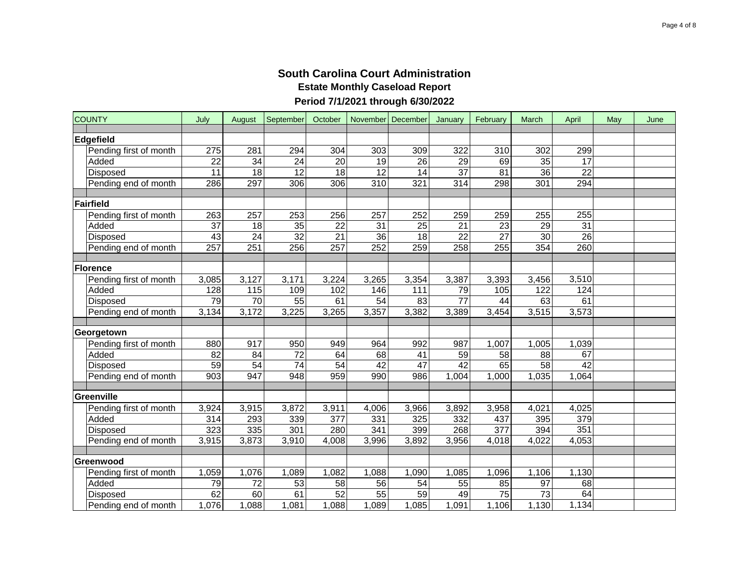| <b>COUNTY</b>          | July            | August            | September       | October         | November December |                 | January         | February          | March           | April           | May | June |
|------------------------|-----------------|-------------------|-----------------|-----------------|-------------------|-----------------|-----------------|-------------------|-----------------|-----------------|-----|------|
| Edgefield              |                 |                   |                 |                 |                   |                 |                 |                   |                 |                 |     |      |
| Pending first of month | 275             | 281               | 294             | 304             | 303               | 309             | 322             | 310               | 302             | 299             |     |      |
| Added                  | 22              | 34                | 24              | 20              | 19                | 26              | 29              | 69                | 35              | 17              |     |      |
| Disposed               | 11              | 18                | 12              | 18              | $\overline{12}$   | $\overline{14}$ | $\overline{37}$ | $\overline{81}$   | 36              | $\overline{22}$ |     |      |
| Pending end of month   | 286             | 297               | 306             | 306             | 310               | 321             | 314             | 298               | 301             | 294             |     |      |
|                        |                 |                   |                 |                 |                   |                 |                 |                   |                 |                 |     |      |
| Fairfield              |                 |                   |                 |                 |                   |                 |                 |                   |                 |                 |     |      |
| Pending first of month | 263             | 257               | 253             | 256             | 257               | 252             | 259             | 259               | 255             | 255             |     |      |
| Added                  | $\overline{37}$ | $\overline{18}$   | $\overline{35}$ | $\overline{22}$ | $\overline{31}$   | $\overline{25}$ | 21              | $\overline{23}$   | $\overline{29}$ | $\overline{31}$ |     |      |
| Disposed               | 43              | $\overline{24}$   | $\overline{32}$ | $\overline{21}$ | $\overline{36}$   | $\overline{18}$ | $\overline{22}$ | $\overline{27}$   | 30              | 26              |     |      |
| Pending end of month   | 257             | 251               | 256             | 257             | 252               | 259             | 258             | 255               | 354             | 260             |     |      |
|                        |                 |                   |                 |                 |                   |                 |                 |                   |                 |                 |     |      |
| Florence               |                 |                   |                 |                 |                   |                 |                 |                   |                 |                 |     |      |
| Pending first of month | 3,085           | 3,127             | 3,171           | 3,224           | 3,265             | 3,354           | 3,387           | 3,393             | 3,456           | 3,510           |     |      |
| Added                  | 128             | $\frac{115}{115}$ | 109             | 102             | 146               | 111             | 79              | $\frac{105}{105}$ | 122             | 124             |     |      |
| Disposed               | 79              | $\overline{70}$   | 55              | 61              | 54                | 83              | $\overline{77}$ | 44                | 63              | 61              |     |      |
| Pending end of month   | 3,134           | 3,172             | 3,225           | 3,265           | 3,357             | 3,382           | 3,389           | 3,454             | 3,515           | 3,573           |     |      |
|                        |                 |                   |                 |                 |                   |                 |                 |                   |                 |                 |     |      |
| Georgetown             |                 |                   |                 |                 |                   |                 |                 |                   |                 |                 |     |      |
| Pending first of month | 880             | 917               | 950             | 949             | 964               | 992             | 987             | 1,007             | 1,005           | 1,039           |     |      |
| Added                  | $\overline{82}$ | 84                | 72              | 64              | 68                | 41              | 59              | 58                | 88              | 67              |     |      |
| Disposed               | 59              | $\overline{54}$   | 74              | $\overline{54}$ | 42                | $\overline{47}$ | 42              | 65                | 58              | $\overline{42}$ |     |      |
| Pending end of month   | 903             | 947               | 948             | 959             | 990               | 986             | 1,004           | 1,000             | 1,035           | 1,064           |     |      |
|                        |                 |                   |                 |                 |                   |                 |                 |                   |                 |                 |     |      |
| Greenville             |                 |                   |                 |                 |                   |                 |                 |                   |                 |                 |     |      |
| Pending first of month | 3,924           | 3,915             | 3,872           | 3,911           | 4,006             | 3,966           | 3,892           | 3,958             | 4,021           | 4,025           |     |      |
| Added                  | 314             | 293               | 339             | 377             | 331               | 325             | 332             | 437               | 395             | 379             |     |      |
| Disposed               | 323             | 335               | 301             | 280             | 341               | 399             | 268             | 377               | 394             | 351             |     |      |
| Pending end of month   | 3,915           | 3,873             | 3,910           | 4,008           | 3,996             | 3,892           | 3,956           | 4,018             | 4,022           | 4,053           |     |      |
| Greenwood              |                 |                   |                 |                 |                   |                 |                 |                   |                 |                 |     |      |
| Pending first of month | 1,059           | 1,076             | 1,089           | 1,082           | 1,088             | 1,090           | 1,085           | 1,096             | 1,106           | 1,130           |     |      |
| Added                  | 79              | 72                | 53              | 58              | 56                | 54              | 55              | 85                | 97              | 68              |     |      |
| Disposed               | 62              | 60                | 61              | $\overline{52}$ | 55                | 59              | 49              | 75                | 73              | 64              |     |      |
| Pending end of month   | 1,076           | 1,088             | 1,081           | 1,088           | 1,089             | 1,085           | 1,091           | 1,106             | 1,130           | 1,134           |     |      |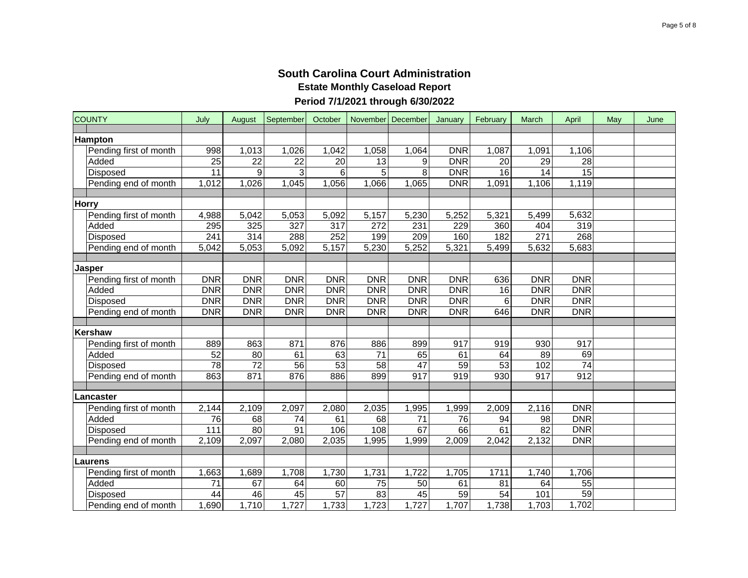| <b>COUNTY</b>          | July             | August          | September        | October    |            | November December | January    | February        | March           | April           | May | June |
|------------------------|------------------|-----------------|------------------|------------|------------|-------------------|------------|-----------------|-----------------|-----------------|-----|------|
|                        |                  |                 |                  |            |            |                   |            |                 |                 |                 |     |      |
| <b>Hampton</b>         |                  |                 |                  |            |            |                   |            |                 |                 |                 |     |      |
| Pending first of month | 998              | 1,013           | 1,026            | 1,042      | 1,058      | 1,064             | <b>DNR</b> | 1,087           | 1,091           | 1,106           |     |      |
| Added                  | $\overline{25}$  | 22              | 22               | 20         | 13         | 9                 | <b>DNR</b> | 20              | 29              | 28              |     |      |
| Disposed               | $\overline{11}$  | 9               | 3                | 6          | 5          | 8                 | <b>DNR</b> | $\overline{16}$ | $\overline{14}$ | $\overline{15}$ |     |      |
| Pending end of month   | 1,012            | 1,026           | 1,045            | 1,056      | 1,066      | 1,065             | <b>DNR</b> | 1,091           | 1,106           | 1,119           |     |      |
| <b>Horry</b>           |                  |                 |                  |            |            |                   |            |                 |                 |                 |     |      |
| Pending first of month | 4,988            | 5,042           | 5,053            | 5,092      | 5,157      | 5,230             | 5,252      | 5,321           | 5,499           | 5,632           |     |      |
| Added                  | 295              | 325             | $\overline{327}$ | 317        | 272        | 231               | 229        | 360             | 404             | 319             |     |      |
| Disposed               | $\overline{241}$ | 314             | 288              | 252        | 199        | 209               | 160        | 182             | 271             | 268             |     |      |
| Pending end of month   | 5,042            | 5,053           | 5,092            | 5,157      | 5,230      | 5,252             | 5,321      | 5,499           | 5,632           | 5,683           |     |      |
|                        |                  |                 |                  |            |            |                   |            |                 |                 |                 |     |      |
| Jasper                 |                  |                 |                  |            |            |                   |            |                 |                 |                 |     |      |
| Pending first of month | <b>DNR</b>       | <b>DNR</b>      | <b>DNR</b>       | <b>DNR</b> | <b>DNR</b> | <b>DNR</b>        | <b>DNR</b> | 636             | <b>DNR</b>      | <b>DNR</b>      |     |      |
| Added                  | <b>DNR</b>       | <b>DNR</b>      | <b>DNR</b>       | <b>DNR</b> | <b>DNR</b> | <b>DNR</b>        | DNR        | 16              | <b>DNR</b>      | <b>DNR</b>      |     |      |
| Disposed               | <b>DNR</b>       | <b>DNR</b>      | <b>DNR</b>       | <b>DNR</b> | <b>DNR</b> | <b>DNR</b>        | <b>DNR</b> | 6               | <b>DNR</b>      | <b>DNR</b>      |     |      |
| Pending end of month   | <b>DNR</b>       | <b>DNR</b>      | <b>DNR</b>       | <b>DNR</b> | <b>DNR</b> | <b>DNR</b>        | <b>DNR</b> | 646             | <b>DNR</b>      | <b>DNR</b>      |     |      |
|                        |                  |                 |                  |            |            |                   |            |                 |                 |                 |     |      |
| Kershaw                |                  |                 |                  |            |            |                   |            |                 |                 |                 |     |      |
| Pending first of month | 889              | 863             | 871              | 876        | 886        | 899               | 917        | 919             | 930             | 917             |     |      |
| Added                  | 52               | 80              | 61               | 63         | 71         | 65                | 61         | 64              | 89              | 69              |     |      |
| Disposed               | $\overline{78}$  | $\overline{72}$ | 56               | 53         | 58         | 47                | 59         | 53              | 102             | $\overline{74}$ |     |      |
| Pending end of month   | 863              | 871             | 876              | 886        | 899        | 917               | 919        | 930             | 917             | 912             |     |      |
|                        |                  |                 |                  |            |            |                   |            |                 |                 |                 |     |      |
| Lancaster              |                  |                 |                  |            |            |                   |            |                 |                 |                 |     |      |
| Pending first of month | 2,144            | 2,109           | 2,097            | 2,080      | 2,035      | 1,995             | 1,999      | 2,009           | 2,116           | <b>DNR</b>      |     |      |
| Added                  | 76               | 68              | 74               | 61         | 68         | 71                | 76         | 94              | 98              | <b>DNR</b>      |     |      |
| Disposed               | 111              | 80              | 91               | 106        | 108        | 67                | 66         | 61              | 82              | <b>DNR</b>      |     |      |
| Pending end of month   | 2,109            | 2,097           | 2,080            | 2,035      | 1,995      | 1,999             | 2,009      | 2,042           | 2,132           | <b>DNR</b>      |     |      |
|                        |                  |                 |                  |            |            |                   |            |                 |                 |                 |     |      |
| Laurens                |                  |                 |                  |            |            |                   |            |                 |                 |                 |     |      |
| Pending first of month | 1,663            | 1,689           | 1,708            | 1,730      | 1,731      | 1,722             | 1,705      | 1711            | 1,740           | 1,706           |     |      |
| Added                  | 71               | 67              | 64               | 60         | 75         | 50                | 61         | 81              | 64              | 55              |     |      |
| Disposed               | 44               | 46              | 45               | 57         | 83         | 45                | 59         | 54              | 101             | 59              |     |      |
| Pending end of month   | 1,690            | 1,710           | 1,727            | 1,733      | 1,723      | 1,727             | 1,707      | 1,738           | 1,703           | 1,702           |     |      |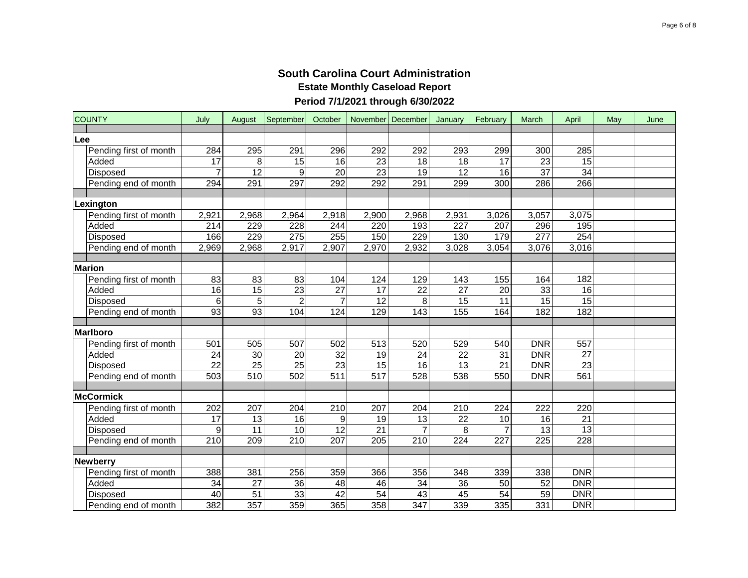|     | <b>COUNTY</b>          | July             | August          | September        | October         |                 | November December | January          | February        | March            | April           | May | June |
|-----|------------------------|------------------|-----------------|------------------|-----------------|-----------------|-------------------|------------------|-----------------|------------------|-----------------|-----|------|
| Lee |                        |                  |                 |                  |                 |                 |                   |                  |                 |                  |                 |     |      |
|     | Pending first of month | 284              | 295             | 291              | 296             | 292             | 292               | 293              | 299             | 300              | 285             |     |      |
|     | Added                  | 17               | 8               | 15               | 16              | 23              | 18                | 18               | 17              | $\overline{23}$  | 15              |     |      |
|     | Disposed               | $\overline{7}$   | $\overline{12}$ | 9                | $\overline{20}$ | $\overline{23}$ | $\overline{19}$   | $\overline{12}$  | 16              | $\overline{37}$  | 34              |     |      |
|     | Pending end of month   | 294              | 291             | 297              | 292             | 292             | 291               | 299              | 300             | 286              | 266             |     |      |
|     |                        |                  |                 |                  |                 |                 |                   |                  |                 |                  |                 |     |      |
|     | Lexington              |                  |                 |                  |                 |                 |                   |                  |                 |                  |                 |     |      |
|     | Pending first of month | 2,921            | 2,968           | 2,964            | 2,918           | 2,900           | 2,968             | 2,931            | 3,026           | 3,057            | 3,075           |     |      |
|     | Added                  | $\overline{214}$ | 229             | 228              | 244             | 220             | 193               | $\overline{227}$ | 207             | 296              | 195             |     |      |
|     | Disposed               | 166              | 229             | $\overline{275}$ | 255             | 150             | 229               | 130              | 179             | $\overline{277}$ | 254             |     |      |
|     | Pending end of month   | 2,969            | 2,968           | 2,917            | 2,907           | 2,970           | 2,932             | 3,028            | 3,054           | 3,076            | 3,016           |     |      |
|     |                        |                  |                 |                  |                 |                 |                   |                  |                 |                  |                 |     |      |
|     | <b>Marion</b>          |                  |                 |                  |                 |                 |                   |                  |                 |                  |                 |     |      |
|     | Pending first of month | 83               | 83              | 83               | 104             | 124             | 129               | 143              | 155             | 164              | 182             |     |      |
|     | Added                  | $\overline{16}$  | 15              | $\overline{23}$  | $\overline{27}$ | 17              | $\overline{22}$   | $\overline{27}$  | $\overline{20}$ | $\overline{33}$  | 16              |     |      |
|     | Disposed               | 6                | 5               | $\overline{2}$   | $\overline{7}$  | 12              | 8                 | 15               | 11              | 15               | 15              |     |      |
|     | Pending end of month   | 93               | 93              | 104              | 124             | 129             | 143               | 155              | 164             | 182              | 182             |     |      |
|     |                        |                  |                 |                  |                 |                 |                   |                  |                 |                  |                 |     |      |
|     | Marlboro               |                  |                 |                  |                 |                 |                   |                  |                 |                  |                 |     |      |
|     | Pending first of month | 501              | 505             | 507              | 502             | 513             | 520               | 529              | 540             | <b>DNR</b>       | 557             |     |      |
|     | Added                  | $\overline{24}$  | 30              | 20               | $\overline{32}$ | 19              | 24                | 22               | 31              | <b>DNR</b>       | $\overline{27}$ |     |      |
|     | Disposed               | $\overline{22}$  | $\overline{25}$ | 25               | 23              | 15              | 16                | 13               | 21              | <b>DNR</b>       | 23              |     |      |
|     | Pending end of month   | 503              | 510             | 502              | 511             | 517             | 528               | 538              | 550             | <b>DNR</b>       | 561             |     |      |
|     |                        |                  |                 |                  |                 |                 |                   |                  |                 |                  |                 |     |      |
|     | McCormick              |                  |                 |                  |                 |                 |                   |                  |                 |                  |                 |     |      |
|     | Pending first of month | 202              | 207             | 204              | 210             | 207             | 204               | 210              | 224             | 222              | 220             |     |      |
|     | Added                  | 17               | 13              | 16               | 9               | 19              | 13                | 22               | 10              | 16               | 21              |     |      |
|     | Disposed               | 9                | 11              | 10               | $\overline{12}$ | 21              |                   | 8                |                 | 13               | 13              |     |      |
|     | Pending end of month   | $\overline{210}$ | 209             | 210              | 207             | 205             | 210               | 224              | 227             | 225              | 228             |     |      |
|     | <b>Newberry</b>        |                  |                 |                  |                 |                 |                   |                  |                 |                  |                 |     |      |
|     | Pending first of month | 388              | 381             | 256              | 359             | 366             | 356               | 348              | 339             | 338              | <b>DNR</b>      |     |      |
|     | Added                  | 34               | 27              | 36               | 48              | 46              | 34                | 36               | 50              | 52               | DNR             |     |      |
|     | Disposed               | 40               | 51              | 33               | 42              | 54              | 43                | 45               | 54              | 59               | <b>DNR</b>      |     |      |
|     | Pending end of month   | 382              | 357             | 359              | 365             | 358             | 347               | 339              | 335             | 331              | <b>DNR</b>      |     |      |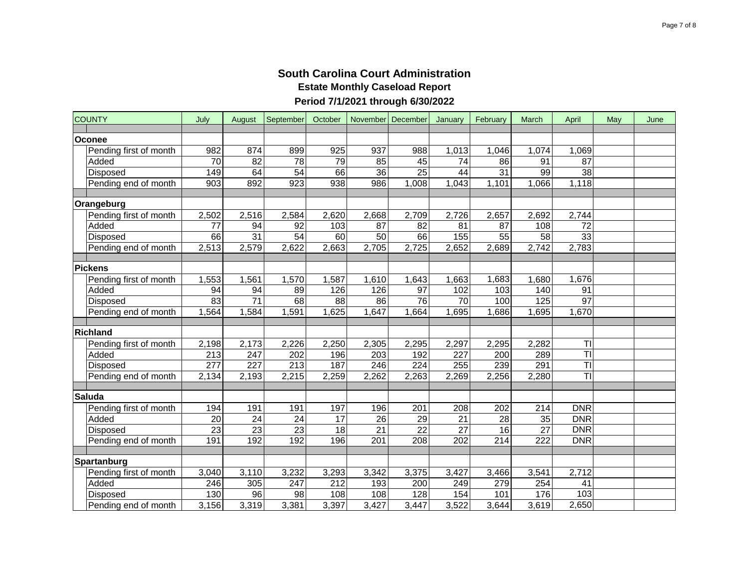| <b>COUNTY</b>          | July                   | August          | September             | October  |                       | November December     | January  | February         | March           | April                    | May | June |
|------------------------|------------------------|-----------------|-----------------------|----------|-----------------------|-----------------------|----------|------------------|-----------------|--------------------------|-----|------|
|                        |                        |                 |                       |          |                       |                       |          |                  |                 |                          |     |      |
| Oconee                 |                        |                 |                       |          |                       |                       |          |                  |                 |                          |     |      |
| Pending first of month | 982                    | 874             | 899                   | 925      | 937                   | 988                   | 1,013    | 1,046            | 1,074           | 1,069<br>$\overline{87}$ |     |      |
| Added<br>Disposed      | $\overline{70}$<br>149 | 82<br>64        | 78<br>$\overline{54}$ | 79<br>66 | 85<br>$\overline{36}$ | 45<br>$\overline{25}$ | 74<br>44 | 86<br>31         | 91<br>99        | 38                       |     |      |
|                        | 903                    | 892             | 923                   | 938      | 986                   | 1,008                 |          |                  | 1,066           | 1,118                    |     |      |
| Pending end of month   |                        |                 |                       |          |                       |                       | 1,043    | 1,101            |                 |                          |     |      |
| Orangeburg             |                        |                 |                       |          |                       |                       |          |                  |                 |                          |     |      |
| Pending first of month | 2,502                  | 2,516           | 2,584                 | 2,620    | 2,668                 | 2,709                 | 2,726    | 2,657            | 2,692           | 2,744                    |     |      |
| Added                  | $\overline{77}$        | 94              | 92                    | 103      | 87                    | 82                    | 81       | 87               | 108             | $\overline{72}$          |     |      |
| Disposed               | 66                     | $\overline{31}$ | $\overline{54}$       | 60       | 50                    | 66                    | 155      | $\overline{55}$  | $\overline{58}$ | 33                       |     |      |
| Pending end of month   | 2,513                  | 2,579           | 2,622                 | 2,663    | 2,705                 | 2,725                 | 2,652    | 2,689            | 2,742           | 2,783                    |     |      |
|                        |                        |                 |                       |          |                       |                       |          |                  |                 |                          |     |      |
| <b>Pickens</b>         |                        |                 |                       |          |                       |                       |          |                  |                 |                          |     |      |
| Pending first of month | 1,553                  | 1,561           | 1,570                 | 1,587    | 1,610                 | 1,643                 | ,663     | 1,683            | 1,680           | 1,676                    |     |      |
| Added                  | $\overline{94}$        | 94              | 89                    | 126      | 126                   | $\overline{97}$       | 102      | 103              | 140             | 91                       |     |      |
| Disposed               | 83                     | $\overline{71}$ | 68                    | 88       | 86                    | $\overline{76}$       | 70       | 100              | 125             | $\overline{97}$          |     |      |
| Pending end of month   | 1,564                  | 1,584           | 1,591                 | 1,625    | 1,647                 | 1,664                 | 1,695    | 1,686            | 1,695           | 1,670                    |     |      |
|                        |                        |                 |                       |          |                       |                       |          |                  |                 |                          |     |      |
| Richland               |                        |                 |                       |          |                       |                       |          |                  |                 |                          |     |      |
| Pending first of month | 2,198                  | 2,173           | 2,226                 | 2,250    | 2,305                 | 2,295                 | 2,297    | 2,295            | 2,282           | TI                       |     |      |
| Added                  | 213                    | 247             | 202                   | 196      | 203                   | 192                   | 227      | 200              | 289             | $\overline{\mathsf{T}}$  |     |      |
| Disposed               | 277                    | 227             | 213                   | 187      | 246                   | 224                   | 255      | 239              | 291             | $\overline{\mathsf{T}}$  |     |      |
| Pending end of month   | 2,134                  | 2,193           | 2,215                 | 2,259    | 2,262                 | 2,263                 | 2,269    | 2,256            | 2,280           | $\overline{\mathsf{T}}$  |     |      |
|                        |                        |                 |                       |          |                       |                       |          |                  |                 |                          |     |      |
| <b>Saluda</b>          |                        |                 |                       |          |                       |                       |          |                  |                 |                          |     |      |
| Pending first of month | 194                    | 191             | 191                   | 197      | 196                   | 201                   | 208      | 202              | 214             | <b>DNR</b>               |     |      |
| Added                  | 20                     | 24              | 24                    | 17       | 26                    | 29                    | 21       | 28               | 35              | <b>DNR</b>               |     |      |
| Disposed               | $\overline{23}$        | 23              | 23                    | 18       | 21                    | 22                    | 27       | 16               | 27              | DNR                      |     |      |
| Pending end of month   | 191                    | 192             | 192                   | 196      | $\overline{201}$      | $\overline{208}$      | 202      | $\overline{214}$ | 222             | <b>DNR</b>               |     |      |
| Spartanburg            |                        |                 |                       |          |                       |                       |          |                  |                 |                          |     |      |
| Pending first of month | 3,040                  | 3,110           | 3,232                 | 3,293    | 3,342                 | 3,375                 | 3,427    | 3,466            | 3,541           | 2,712                    |     |      |
| Added                  | 246                    | 305             | 247                   | 212      | 193                   | 200                   | 249      | 279              | 254             | 41                       |     |      |
| Disposed               | 130                    | 96              | 98                    | 108      | 108                   | 128                   | 154      | 101              | 176             | 103                      |     |      |
| Pending end of month   | 3,156                  | 3,319           | 3,381                 | 3,397    | 3,427                 | 3,447                 | 3,522    | 3,644            | 3,619           | 2,650                    |     |      |